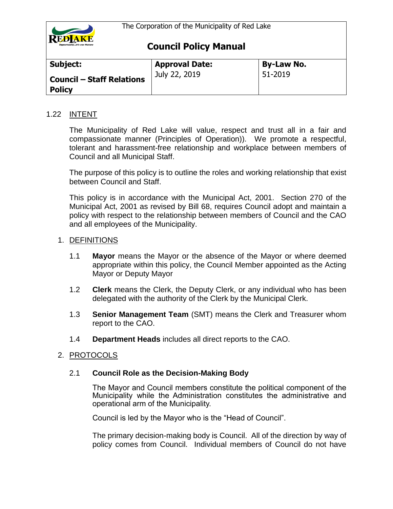

| Subject:                                          | <b>Approval Date:</b> | <b>By-Law No.</b> |
|---------------------------------------------------|-----------------------|-------------------|
| <b>Council - Staff Relations</b><br><b>Policy</b> | July 22, 2019         | 51-2019           |

## 1.22 INTENT

The Municipality of Red Lake will value, respect and trust all in a fair and compassionate manner (Principles of Operation)). We promote a respectful, tolerant and harassment-free relationship and workplace between members of Council and all Municipal Staff.

The purpose of this policy is to outline the roles and working relationship that exist between Council and Staff.

This policy is in accordance with the Municipal Act, 2001. Section 270 of the Municipal Act, 2001 as revised by Bill 68, requires Council adopt and maintain a policy with respect to the relationship between members of Council and the CAO and all employees of the Municipality.

#### 1. DEFINITIONS

- 1.1 **Mayor** means the Mayor or the absence of the Mayor or where deemed appropriate within this policy, the Council Member appointed as the Acting Mayor or Deputy Mayor
- 1.2 **Clerk** means the Clerk, the Deputy Clerk, or any individual who has been delegated with the authority of the Clerk by the Municipal Clerk.
- 1.3 **Senior Management Team** (SMT) means the Clerk and Treasurer whom report to the CAO.
- 1.4 **Department Heads** includes all direct reports to the CAO.

## 2. PROTOCOLS

## 2.1 **Council Role as the Decision-Making Body**

The Mayor and Council members constitute the political component of the Municipality while the Administration constitutes the administrative and operational arm of the Municipality.

Council is led by the Mayor who is the "Head of Council".

The primary decision-making body is Council. All of the direction by way of policy comes from Council. Individual members of Council do not have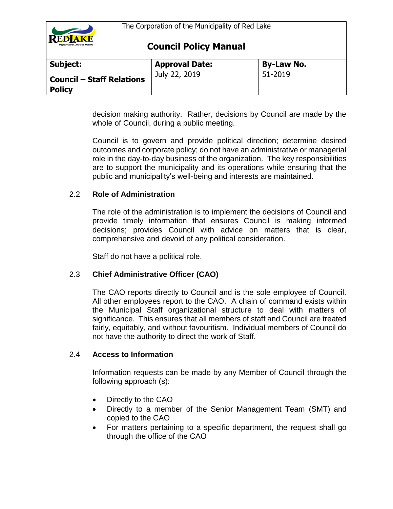

| Subject:                                          | <b>Approval Date:</b> | <b>By-Law No.</b> |
|---------------------------------------------------|-----------------------|-------------------|
| <b>Council - Staff Relations</b><br><b>Policy</b> | July 22, 2019         | 51-2019           |

decision making authority. Rather, decisions by Council are made by the whole of Council, during a public meeting.

Council is to govern and provide political direction; determine desired outcomes and corporate policy; do not have an administrative or managerial role in the day-to-day business of the organization. The key responsibilities are to support the municipality and its operations while ensuring that the public and municipality's well-being and interests are maintained.

## 2.2 **Role of Administration**

The role of the administration is to implement the decisions of Council and provide timely information that ensures Council is making informed decisions; provides Council with advice on matters that is clear, comprehensive and devoid of any political consideration.

Staff do not have a political role.

# 2.3 **Chief Administrative Officer (CAO)**

The CAO reports directly to Council and is the sole employee of Council. All other employees report to the CAO. A chain of command exists within the Municipal Staff organizational structure to deal with matters of significance. This ensures that all members of staff and Council are treated fairly, equitably, and without favouritism. Individual members of Council do not have the authority to direct the work of Staff.

## 2.4 **Access to Information**

Information requests can be made by any Member of Council through the following approach (s):

- Directly to the CAO
- Directly to a member of the Senior Management Team (SMT) and copied to the CAO
- For matters pertaining to a specific department, the request shall go through the office of the CAO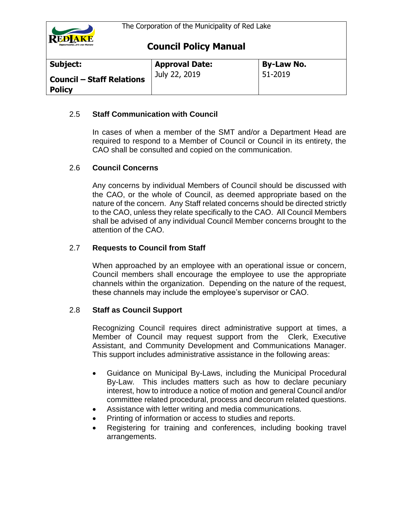

| Subject:                                          | <b>Approval Date:</b> | <b>By-Law No.</b> |
|---------------------------------------------------|-----------------------|-------------------|
| <b>Council - Staff Relations</b><br><b>Policy</b> | July 22, 2019         | 51-2019           |

## 2.5 **Staff Communication with Council**

In cases of when a member of the SMT and/or a Department Head are required to respond to a Member of Council or Council in its entirety, the CAO shall be consulted and copied on the communication.

## 2.6 **Council Concerns**

Any concerns by individual Members of Council should be discussed with the CAO, or the whole of Council, as deemed appropriate based on the nature of the concern. Any Staff related concerns should be directed strictly to the CAO, unless they relate specifically to the CAO. All Council Members shall be advised of any individual Council Member concerns brought to the attention of the CAO.

## 2.7 **Requests to Council from Staff**

When approached by an employee with an operational issue or concern, Council members shall encourage the employee to use the appropriate channels within the organization. Depending on the nature of the request, these channels may include the employee's supervisor or CAO.

## 2.8 **Staff as Council Support**

Recognizing Council requires direct administrative support at times, a Member of Council may request support from the Clerk, Executive Assistant, and Community Development and Communications Manager. This support includes administrative assistance in the following areas:

- Guidance on Municipal By-Laws, including the Municipal Procedural By-Law. This includes matters such as how to declare pecuniary interest, how to introduce a notice of motion and general Council and/or committee related procedural, process and decorum related questions.
- Assistance with letter writing and media communications.
- Printing of information or access to studies and reports.
- Registering for training and conferences, including booking travel arrangements.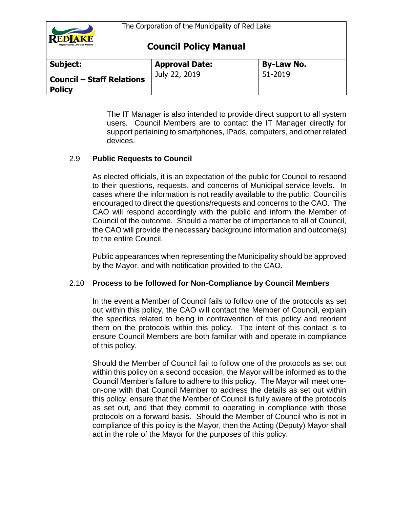

| Subject:                                          | <b>Approval Date:</b> | <b>By-Law No.</b> |
|---------------------------------------------------|-----------------------|-------------------|
| <b>Council - Staff Relations</b><br><b>Policy</b> | July 22, 2019         | 51-2019           |

The IT Manager is also intended to provide direct support to all system users. Council Members are to contact the IT Manager directly for support pertaining to smartphones, IPads, computers, and other related devices.

# 2.9 **Public Requests to Council**

As elected officials, it is an expectation of the public for Council to respond to their questions, requests, and concerns of Municipal service levels**.** In cases where the information is not readily available to the public, Council is encouraged to direct the questions/requests and concerns to the CAO. The CAO will respond accordingly with the public and inform the Member of Council of the outcome. Should a matter be of importance to all of Council, the CAO will provide the necessary background information and outcome(s) to the entire Council.

Public appearances when representing the Municipality should be approved by the Mayor, and with notification provided to the CAO.

# 2.10 **Process to be followed for Non-Compliance by Council Members**

In the event a Member of Council fails to follow one of the protocols as set out within this policy, the CAO will contact the Member of Council, explain the specifics related to being in contravention of this policy and reorient them on the protocols within this policy. The intent of this contact is to ensure Council Members are both familiar with and operate in compliance of this policy.

Should the Member of Council fail to follow one of the protocols as set out within this policy on a second occasion, the Mayor will be informed as to the Council Member's failure to adhere to this policy. The Mayor will meet oneon-one with that Council Member to address the details as set out within this policy, ensure that the Member of Council is fully aware of the protocols as set out, and that they commit to operating in compliance with those protocols on a forward basis. Should the Member of Council who is not in compliance of this policy is the Mayor, then the Acting (Deputy) Mayor shall act in the role of the Mayor for the purposes of this policy.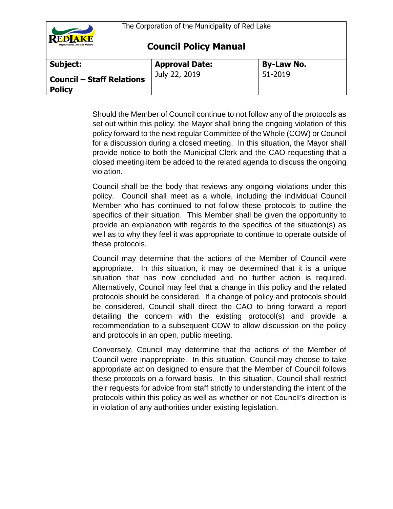

**Council Policy Manual**

| Subject:                                          | <b>Approval Date:</b> | <b>By-Law No.</b> |
|---------------------------------------------------|-----------------------|-------------------|
| <b>Council - Staff Relations</b><br><b>Policy</b> | July 22, 2019         | 51-2019           |

Should the Member of Council continue to not follow any of the protocols as set out within this policy, the Mayor shall bring the ongoing violation of this policy forward to the next regular Committee of the Whole (COW) or Council for a discussion during a closed meeting. In this situation, the Mayor shall provide notice to both the Municipal Clerk and the CAO requesting that a closed meeting item be added to the related agenda to discuss the ongoing violation.

Council shall be the body that reviews any ongoing violations under this policy. Council shall meet as a whole, including the individual Council Member who has continued to not follow these protocols to outline the specifics of their situation. This Member shall be given the opportunity to provide an explanation with regards to the specifics of the situation(s) as well as to why they feel it was appropriate to continue to operate outside of these protocols.

Council may determine that the actions of the Member of Council were appropriate. In this situation, it may be determined that it is a unique situation that has now concluded and no further action is required. Alternatively, Council may feel that a change in this policy and the related protocols should be considered. If a change of policy and protocols should be considered, Council shall direct the CAO to bring forward a report detailing the concern with the existing protocol(s) and provide a recommendation to a subsequent COW to allow discussion on the policy and protocols in an open, public meeting.

Conversely, Council may determine that the actions of the Member of Council were inappropriate. In this situation, Council may choose to take appropriate action designed to ensure that the Member of Council follows these protocols on a forward basis. In this situation, Council shall restrict their requests for advice from staff strictly to understanding the intent of the protocols within this policy as well as whether or not Council's direction is in violation of any authorities under existing legislation.